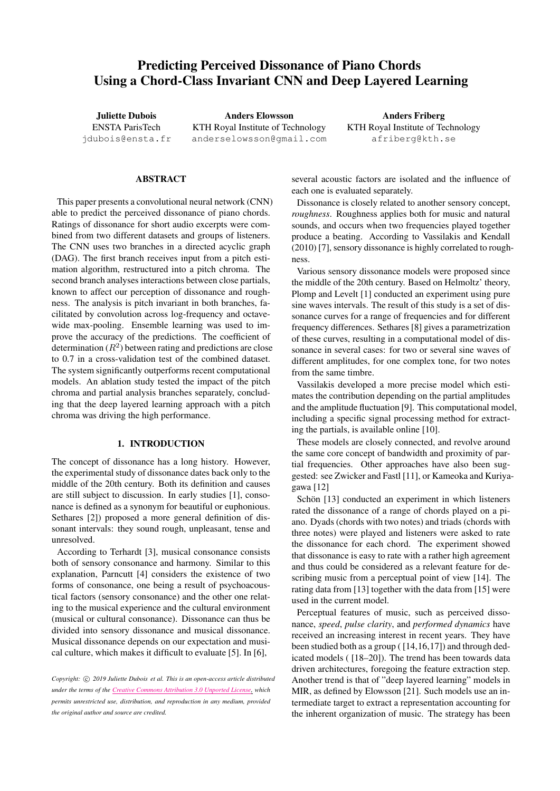# Predicting Perceived Dissonance of Piano Chords Using a Chord-Class Invariant CNN and Deep Layered Learning

Juliette Dubois ENSTA ParisTech [jdubois@ensta.fr](mailto:jdubois@ensta.fr)

Anders Elowsson KTH Royal Institute of Technology [anderselowsson@gmail.com](mailto:anderselowsson@gmail.com)

Anders Friberg KTH Royal Institute of Technology [afriberg@kth.se](mailto:afriberg@kth.se)

# ABSTRACT

This paper presents a convolutional neural network (CNN) able to predict the perceived dissonance of piano chords. Ratings of dissonance for short audio excerpts were combined from two different datasets and groups of listeners. The CNN uses two branches in a directed acyclic graph (DAG). The first branch receives input from a pitch estimation algorithm, restructured into a pitch chroma. The second branch analyses interactions between close partials, known to affect our perception of dissonance and roughness. The analysis is pitch invariant in both branches, facilitated by convolution across log-frequency and octavewide max-pooling. Ensemble learning was used to improve the accuracy of the predictions. The coefficient of determination ( $R^2$ ) between rating and predictions are close to 0.7 in a cross-validation test of the combined dataset. The system significantly outperforms recent computational models. An ablation study tested the impact of the pitch chroma and partial analysis branches separately, concluding that the deep layered learning approach with a pitch chroma was driving the high performance.

# 1. INTRODUCTION

The concept of dissonance has a long history. However, the experimental study of dissonance dates back only to the middle of the 20th century. Both its definition and causes are still subject to discussion. In early studies [\[1\]](#page-5-0), consonance is defined as a synonym for beautiful or euphonious. Sethares [\[2\]](#page-5-1)) proposed a more general definition of dissonant intervals: they sound rough, unpleasant, tense and unresolved.

According to Terhardt [\[3\]](#page-5-2), musical consonance consists both of sensory consonance and harmony. Similar to this explanation, Parncutt [\[4\]](#page-5-3) considers the existence of two forms of consonance, one being a result of psychoacoustical factors (sensory consonance) and the other one relating to the musical experience and the cultural environment (musical or cultural consonance). Dissonance can thus be divided into sensory dissonance and musical dissonance. Musical dissonance depends on our expectation and musical culture, which makes it difficult to evaluate [[5\]](#page-5-4). In [[6\],](#page-5-5)

*Copyright:* c *2019 Juliette Dubois et al. This is an open-access article distributed under the terms of the Creative Commons [Attribution](http://creativecommons.org/licenses/by/3.0/) 3.0 Unported License, which permits unrestricted use, distribution, and reproduction in any medium, provided the original author and source are credited.*

several acoustic factors are isolated and the influence of each one is evaluated separately.

Dissonance is closely related to another sensory concept, *roughness*. Roughness applies both for music and natural sounds, and occurs when two frequencies played together produce a beating. According to Vassilakis and Kendall (2010) [\[7\]](#page-5-6), sensory dissonance is highly correlated to roughness.

Various sensory dissonance models were proposed since the middle of the 20th century. Based on Helmoltz' theory, Plomp and Levelt [\[1\]](#page-5-0) conducted an experiment using pure sine waves intervals. The result of this study is a set of dissonance curves for a range of frequencies and for different frequency differences. Sethares [\[8\]](#page-5-7) gives a parametrization of these curves, resulting in a computational model of dissonance in several cases: for two or several sine waves of different amplitudes, for one complex tone, for two notes from the same timbre.

Vassilakis developed a more precise model which estimates the contribution depending on the partial amplitudes and the amplitude fluctuation [\[9\]](#page-5-8). This computational model, including a specific signal processing method for extracting the partials, is available online [\[10\]](#page-6-0).

These models are closely connected, and revolve around the same core concept of bandwidth and proximity of partial frequencies. Other approaches have also been suggested: see Zwicker and Fastl [\[11\]](#page-6-1), or Kameoka and Kuriyagawa [\[12\]](#page-6-2)

Schön [\[13\]](#page-6-3) conducted an experiment in which listeners rated the dissonance of a range of chords played on a piano. Dyads (chords with two notes) and triads (chords with three notes) were played and listeners were asked to rate the dissonance for each chord. The experiment showed that dissonance is easy to rate with a rather high agreement and thus could be considered as a relevant feature for describing music from a perceptual point of view [\[14\]](#page-6-4). The rating data from [\[13\]](#page-6-3) together with the data from [\[15\]](#page-6-5) were used in the current model.

Perceptual features of music, such as perceived dissonance, *speed*, *pulse clarity*, and *performed dynamics* have received an increasing interest in recent years. They have been studied both as a group ( [\[14](#page-6-4)[,16](#page-6-6)[,17\]](#page-6-7)) and through dedicated models ( [\[18–](#page-6-8)[20\]](#page-6-9)). The trend has been towards data driven architectures, foregoing the feature extraction step. Another trend is that of "deep layered learning" models in MIR, as defined by Elowsson [\[21\]](#page-6-10). Such models use an intermediate target to extract a representation accounting for the inherent organization of music. The strategy has been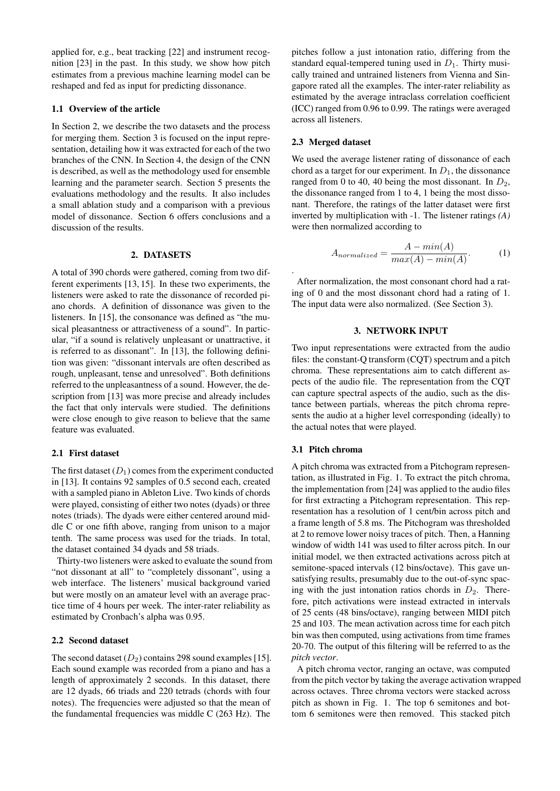applied for, e.g., beat tracking [\[22\]](#page-6-11) and instrument recognition [\[23\]](#page-6-12) in the past. In this study, we show how pitch estimates from a previous machine learning model can be reshaped and fed as input for predicting dissonance.

# 1.1 Overview of the article

In Section [2,](#page-1-0) we describe the two datasets and the process for merging them. Section [3](#page-1-1) is focused on the input representation, detailing how it was extracted for each of the two branches of the CNN. In Section [4,](#page-2-0) the design of the CNN is described, as well as the methodology used for ensemble learning and the parameter search. Section [5](#page-3-0) presents the evaluations methodology and the results. It also includes a small ablation study and a comparison with a previous model of dissonance. Section [6](#page-5-9) offers conclusions and a discussion of the results.

# 2. DATASETS

<span id="page-1-0"></span>A total of 390 chords were gathered, coming from two different experiments [\[13,](#page-6-3) [15\]](#page-6-5). In these two experiments, the listeners were asked to rate the dissonance of recorded piano chords. A definition of dissonance was given to the listeners. In [\[15\]](#page-6-5), the consonance was defined as "the musical pleasantness or attractiveness of a sound". In particular, "if a sound is relatively unpleasant or unattractive, it is referred to as dissonant". In [\[13\]](#page-6-3), the following definition was given: "dissonant intervals are often described as rough, unpleasant, tense and unresolved". Both definitions referred to the unpleasantness of a sound. However, the description from [\[13\]](#page-6-3) was more precise and already includes the fact that only intervals were studied. The definitions were close enough to give reason to believe that the same feature was evaluated.

### 2.1 First dataset

The first dataset  $(D_1)$  comes from the experiment conducted in [\[13\]](#page-6-3). It contains 92 samples of 0.5 second each, created with a sampled piano in Ableton Live. Two kinds of chords were played, consisting of either two notes (dyads) or three notes (triads). The dyads were either centered around middle C or one fifth above, ranging from unison to a major tenth. The same process was used for the triads. In total, the dataset contained 34 dyads and 58 triads.

Thirty-two listeners were asked to evaluate the sound from "not dissonant at all" to "completely dissonant", using a web interface. The listeners' musical background varied but were mostly on an amateur level with an average practice time of 4 hours per week. The inter-rater reliability as estimated by Cronbach's alpha was 0.95.

### 2.2 Second dataset

The second dataset  $(D_2)$  contains 298 sound examples [\[15\]](#page-6-5). Each sound example was recorded from a piano and has a length of approximately 2 seconds. In this dataset, there are 12 dyads, 66 triads and 220 tetrads (chords with four notes). The frequencies were adjusted so that the mean of the fundamental frequencies was middle C (263 Hz). The

pitches follow a just intonation ratio, differing from the standard equal-tempered tuning used in  $D_1$ . Thirty musically trained and untrained listeners from Vienna and Singapore rated all the examples. The inter-rater reliability as estimated by the average intraclass correlation coefficient (ICC) ranged from 0.96 to 0.99. The ratings were averaged across all listeners.

### <span id="page-1-2"></span>2.3 Merged dataset

.

We used the average listener rating of dissonance of each chord as a target for our experiment. In  $D_1$ , the dissonance ranged from 0 to 40, 40 being the most dissonant. In  $D_2$ , the dissonance ranged from 1 to 4, 1 being the most dissonant. Therefore, the ratings of the latter dataset were first inverted by multiplication with -1. The listener ratings *(A)* were then normalized according to

$$
A_{normalized} = \frac{A - min(A)}{max(A) - min(A)}.
$$
 (1)

After normalization, the most consonant chord had a rating of 0 and the most dissonant chord had a rating of 1. The input data were also normalized. (See Section [3\)](#page-1-1).

# 3. NETWORK INPUT

<span id="page-1-1"></span>Two input representations were extracted from the audio files: the constant-Q transform (CQT) spectrum and a pitch chroma. These representations aim to catch different aspects of the audio file. The representation from the CQT can capture spectral aspects of the audio, such as the distance between partials, whereas the pitch chroma represents the audio at a higher level corresponding (ideally) to the actual notes that were played.

# 3.1 Pitch chroma

A pitch chroma was extracted from a Pitchogram representation, as illustrated in Fig. 1. To extract the pitch chroma, the implementation from [\[24\]](#page-6-13) was applied to the audio files for first extracting a Pitchogram representation. This representation has a resolution of 1 cent/bin across pitch and a frame length of 5.8 ms. The Pitchogram was thresholded at 2 to remove lower noisy traces of pitch. Then, a Hanning window of width 141 was used to filter across pitch. In our initial model, we then extracted activations across pitch at semitone-spaced intervals (12 bins/octave). This gave unsatisfying results, presumably due to the out-of-sync spacing with the just intonation ratios chords in  $D_2$ . Therefore, pitch activations were instead extracted in intervals of 25 cents (48 bins/octave), ranging between MIDI pitch 25 and 103. The mean activation across time for each pitch bin was then computed, using activations from time frames 20-70. The output of this filtering will be referred to as the *pitch vector*.

A pitch chroma vector, ranging an octave, was computed from the pitch vector by taking the average activation wrapped across octaves. Three chroma vectors were stacked across pitch as shown in Fig. 1. The top 6 semitones and bottom 6 semitones were then removed. This stacked pitch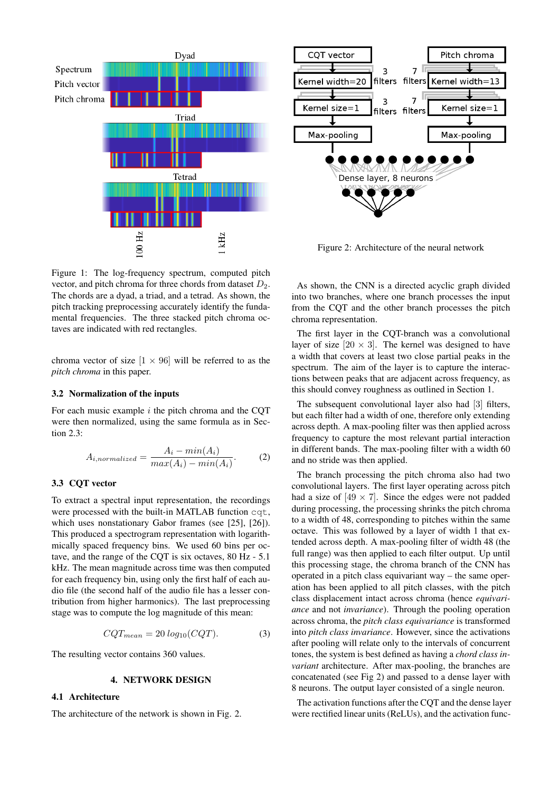

Figure 1: The log-frequency spectrum, computed pitch vector, and pitch chroma for three chords from dataset  $D_2$ . The chords are a dyad, a triad, and a tetrad. As shown, the pitch tracking preprocessing accurately identify the fundamental frequencies. The three stacked pitch chroma octaves are indicated with red rectangles.

chroma vector of size  $[1 \times 96]$  will be referred to as the *pitch chroma* in this paper.

# 3.2 Normalization of the inputs

For each music example  $i$  the pitch chroma and the CQT were then normalized, using the same formula as in Section [2.3:](#page-1-2)

$$
A_{i,normalized} = \frac{A_i - min(A_i)}{max(A_i) - min(A_i)}.
$$
 (2)

# 3.3 CQT vector

To extract a spectral input representation, the recordings were processed with the built-in MATLAB function cqt, which uses nonstationary Gabor frames (see [\[25\]](#page-6-14), [\[26\]](#page-6-15)). This produced a spectrogram representation with logarithmically spaced frequency bins. We used 60 bins per octave, and the range of the CQT is six octaves, 80 Hz - 5.1 kHz. The mean magnitude across time was then computed for each frequency bin, using only the first half of each audio file (the second half of the audio file has a lesser contribution from higher harmonics). The last preprocessing stage was to compute the log magnitude of this mean:

$$
CQT_{mean} = 20 \log_{10}(CQT). \tag{3}
$$

The resulting vector contains 360 values.

### 4. NETWORK DESIGN

# <span id="page-2-0"></span>4.1 Architecture

The architecture of the network is shown in Fig. [2.](#page-2-1)

<span id="page-2-1"></span>

Figure 2: Architecture of the neural network

As shown, the CNN is a directed acyclic graph divided into two branches, where one branch processes the input from the CQT and the other branch processes the pitch chroma representation.

The first layer in the CQT-branch was a convolutional layer of size  $[20 \times 3]$ . The kernel was designed to have a width that covers at least two close partial peaks in the spectrum. The aim of the layer is to capture the interactions between peaks that are adjacent across frequency, as this should convey roughness as outlined in Section 1.

The subsequent convolutional layer also had [3] filters, but each filter had a width of one, therefore only extending across depth. A max-pooling filter was then applied across frequency to capture the most relevant partial interaction in different bands. The max-pooling filter with a width 60 and no stride was then applied.

The branch processing the pitch chroma also had two convolutional layers. The first layer operating across pitch had a size of  $[49 \times 7]$ . Since the edges were not padded during processing, the processing shrinks the pitch chroma to a width of 48, corresponding to pitches within the same octave. This was followed by a layer of width 1 that extended across depth. A max-pooling filter of width 48 (the full range) was then applied to each filter output. Up until this processing stage, the chroma branch of the CNN has operated in a pitch class equivariant way – the same operation has been applied to all pitch classes, with the pitch class displacement intact across chroma (hence *equivariance* and not *invariance*). Through the pooling operation across chroma, the *pitch class equivariance* is transformed into *pitch class invariance*. However, since the activations after pooling will relate only to the intervals of concurrent tones, the system is best defined as having a *chord class invariant* architecture. After max-pooling, the branches are concatenated (see Fig [2\)](#page-2-1) and passed to a dense layer with 8 neurons. The output layer consisted of a single neuron.

The activation functions after the CQT and the dense layer were rectified linear units (ReLUs), and the activation func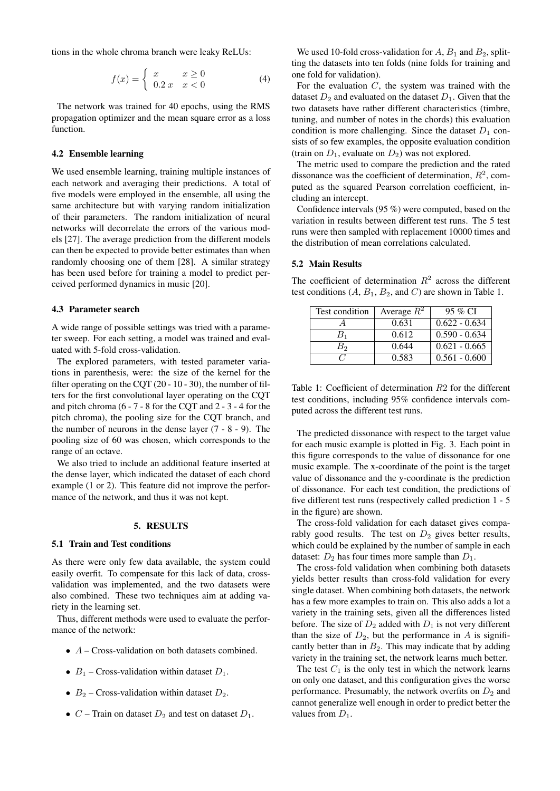tions in the whole chroma branch were leaky ReLUs:

$$
f(x) = \begin{cases} x & x \ge 0 \\ 0.2 \, x & x < 0 \end{cases}
$$
 (4)

The network was trained for 40 epochs, using the RMS propagation optimizer and the mean square error as a loss function.

# 4.2 Ensemble learning

We used ensemble learning, training multiple instances of each network and averaging their predictions. A total of five models were employed in the ensemble, all using the same architecture but with varying random initialization of their parameters. The random initialization of neural networks will decorrelate the errors of the various models [\[27\]](#page-6-16). The average prediction from the different models can then be expected to provide better estimates than when randomly choosing one of them [\[28\]](#page-6-17). A similar strategy has been used before for training a model to predict perceived performed dynamics in music [\[20\]](#page-6-9).

### 4.3 Parameter search

A wide range of possible settings was tried with a parameter sweep. For each setting, a model was trained and evaluated with 5-fold cross-validation.

The explored parameters, with tested parameter variations in parenthesis, were: the size of the kernel for the filter operating on the CQT (20 - 10 - 30), the number of filters for the first convolutional layer operating on the CQT and pitch chroma (6 - 7 - 8 for the CQT and 2 - 3 - 4 for the pitch chroma), the pooling size for the CQT branch, and the number of neurons in the dense layer (7 - 8 - 9). The pooling size of 60 was chosen, which corresponds to the range of an octave.

We also tried to include an additional feature inserted at the dense layer, which indicated the dataset of each chord example (1 or 2). This feature did not improve the performance of the network, and thus it was not kept.

#### 5. RESULTS

### <span id="page-3-0"></span>5.1 Train and Test conditions

As there were only few data available, the system could easily overfit. To compensate for this lack of data, crossvalidation was implemented, and the two datasets were also combined. These two techniques aim at adding variety in the learning set.

Thus, different methods were used to evaluate the performance of the network:

- $\bullet$  A Cross-validation on both datasets combined.
- $B_1$  Cross-validation within dataset  $D_1$ .
- $B_2$  Cross-validation within dataset  $D_2$ .
- $C$  Train on dataset  $D_2$  and test on dataset  $D_1$ .

We used 10-fold cross-validation for  $A, B_1$  and  $B_2$ , splitting the datasets into ten folds (nine folds for training and one fold for validation).

For the evaluation  $C$ , the system was trained with the dataset  $D_2$  and evaluated on the dataset  $D_1$ . Given that the two datasets have rather different characteristics (timbre, tuning, and number of notes in the chords) this evaluation condition is more challenging. Since the dataset  $D_1$  consists of so few examples, the opposite evaluation condition (train on  $D_1$ , evaluate on  $D_2$ ) was not explored.

The metric used to compare the prediction and the rated dissonance was the coefficient of determination,  $R^2$ , computed as the squared Pearson correlation coefficient, including an intercept.

Confidence intervals (95 %) were computed, based on the variation in results between different test runs. The 5 test runs were then sampled with replacement 10000 times and the distribution of mean correlations calculated.

# 5.2 Main Results

The coefficient of determination  $R^2$  across the different test conditions  $(A, B_1, B_2, \text{ and } C)$  are shown in Table [1.](#page-3-1)

<span id="page-3-1"></span>

| Test condition | Average $R^2$ | 95 % CI         |
|----------------|---------------|-----------------|
|                | 0.631         | $0.622 - 0.634$ |
| $B_1$          | 0.612         | $0.590 - 0.634$ |
| B2             | 0.644         | $0.621 - 0.665$ |
|                | 0.583         | $0.561 - 0.600$ |

Table 1: Coefficient of determination R2 for the different test conditions, including 95% confidence intervals computed across the different test runs.

The predicted dissonance with respect to the target value for each music example is plotted in Fig. [3.](#page-4-0) Each point in this figure corresponds to the value of dissonance for one music example. The x-coordinate of the point is the target value of dissonance and the y-coordinate is the prediction of dissonance. For each test condition, the predictions of five different test runs (respectively called prediction 1 - 5 in the figure) are shown.

The cross-fold validation for each dataset gives comparably good results. The test on  $D_2$  gives better results, which could be explained by the number of sample in each dataset:  $D_2$  has four times more sample than  $D_1$ .

The cross-fold validation when combining both datasets yields better results than cross-fold validation for every single dataset. When combining both datasets, the network has a few more examples to train on. This also adds a lot a variety in the training sets, given all the differences listed before. The size of  $D_2$  added with  $D_1$  is not very different than the size of  $D_2$ , but the performance in A is significantly better than in  $B_2$ . This may indicate that by adding variety in the training set, the network learns much better.

The test  $C_1$  is the only test in which the network learns on only one dataset, and this configuration gives the worse performance. Presumably, the network overfits on  $D_2$  and cannot generalize well enough in order to predict better the values from  $D_1$ .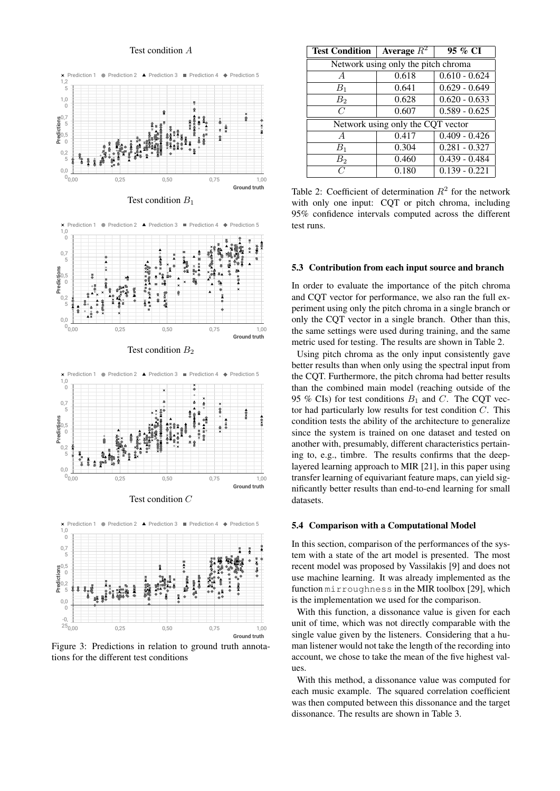### Test condition A

<span id="page-4-0"></span>



**Ground truth** Predictions<br>c<sub>o</sub><br>Addressed  $\frac{-0}{25}$ 0,0  $\epsilon$  $\begin{matrix} 0,5 \\ 0 \end{matrix}$  $\frac{0,7}{5}$  =  $1,0$  $\overline{0}$ 0,00 0,25 0,50 0,75 1,00 Prediction 1  $\bullet$  Prediction 2  $\bullet$  Prediction 3 Prediction 4  $\bullet$  Prediction 5

Figure 3: Predictions in relation to ground truth annotations for the different test conditions

<span id="page-4-1"></span>

| <b>Test Condition</b>               | Average $R^2$ | 95 % CI         |  |
|-------------------------------------|---------------|-----------------|--|
| Network using only the pitch chroma |               |                 |  |
| $\overline{A}$                      | 0.618         | $0.610 - 0.624$ |  |
| $B_1$                               | 0.641         | $0.629 - 0.649$ |  |
| B <sub>2</sub>                      | 0.628         | $0.620 - 0.633$ |  |
| C                                   | 0.607         | $0.589 - 0.625$ |  |
| Network using only the CQT vector   |               |                 |  |
| $\overline{A}$                      | 0.417         | $0.409 - 0.426$ |  |
| $B_1$                               | 0.304         | $0.281 - 0.327$ |  |
| $B_2$                               | 0.460         | $0.439 - 0.484$ |  |
| $\overline{C}$                      | 0.180         | $0.139 - 0.221$ |  |

Table 2: Coefficient of determination  $R^2$  for the network with only one input: COT or pitch chroma, including 95% confidence intervals computed across the different test runs.

#### 5.3 Contribution from each input source and branch

In order to evaluate the importance of the pitch chroma and CQT vector for performance, we also ran the full experiment using only the pitch chroma in a single branch or only the CQT vector in a single branch. Other than this, the same settings were used during training, and the same metric used for testing. The results are shown in Table [2.](#page-4-1)

Using pitch chroma as the only input consistently gave better results than when only using the spectral input from the CQT. Furthermore, the pitch chroma had better results than the combined main model (reaching outside of the 95 % CIs) for test conditions  $B_1$  and C. The CQT vector had particularly low results for test condition  $C$ . This condition tests the ability of the architecture to generalize since the system is trained on one dataset and tested on another with, presumably, different characteristics pertaining to, e.g., timbre. The results confirms that the deeplayered learning approach to MIR [\[21\]](#page-6-10), in this paper using transfer learning of equivariant feature maps, can yield significantly better results than end-to-end learning for small datasets.

#### 5.4 Comparison with a Computational Model

In this section, comparison of the performances of the system with a state of the art model is presented. The most recent model was proposed by Vassilakis [\[9\]](#page-5-8) and does not use machine learning. It was already implemented as the function mirroughness in the MIR toolbox [\[29\]](#page-6-18), which is the implementation we used for the comparison.

With this function, a dissonance value is given for each unit of time, which was not directly comparable with the single value given by the listeners. Considering that a human listener would not take the length of the recording into account, we chose to take the mean of the five highest values.

With this method, a dissonance value was computed for each music example. The squared correlation coefficient was then computed between this dissonance and the target dissonance. The results are shown in Table [3.](#page-5-10)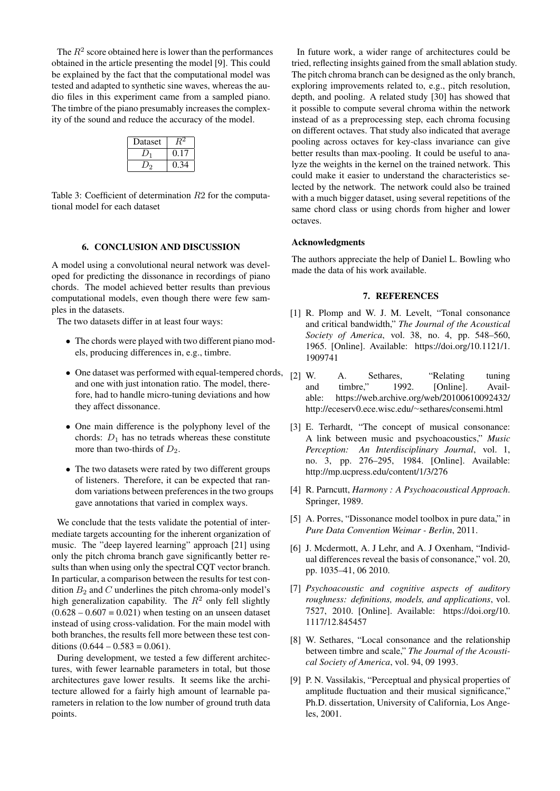The  $R^2$  score obtained here is lower than the performances obtained in the article presenting the model [\[9\]](#page-5-8). This could be explained by the fact that the computational model was tested and adapted to synthetic sine waves, whereas the audio files in this experiment came from a sampled piano. The timbre of the piano presumably increases the complexity of the sound and reduce the accuracy of the model.

| Dataset |  |
|---------|--|
|         |  |
|         |  |

<span id="page-5-10"></span>Table 3: Coefficient of determination R2 for the computational model for each dataset

### 6. CONCLUSION AND DISCUSSION

<span id="page-5-9"></span>A model using a convolutional neural network was developed for predicting the dissonance in recordings of piano chords. The model achieved better results than previous computational models, even though there were few samples in the datasets.

The two datasets differ in at least four ways:

- The chords were played with two different piano models, producing differences in, e.g., timbre.
- One dataset was performed with equal-tempered chords, and one with just intonation ratio. The model, therefore, had to handle micro-tuning deviations and how they affect dissonance.
- One main difference is the polyphony level of the chords:  $D_1$  has no tetrads whereas these constitute more than two-thirds of  $D_2$ .
- The two datasets were rated by two different groups of listeners. Therefore, it can be expected that random variations between preferences in the two groups gave annotations that varied in complex ways.

We conclude that the tests validate the potential of intermediate targets accounting for the inherent organization of music. The "deep layered learning" approach [\[21\]](#page-6-10) using only the pitch chroma branch gave significantly better results than when using only the spectral CQT vector branch. In particular, a comparison between the results for test condition  $B_2$  and  $C$  underlines the pitch chroma-only model's high generalization capability. The  $R^2$  only fell slightly  $(0.628 - 0.607 = 0.021)$  when testing on an unseen dataset instead of using cross-validation. For the main model with both branches, the results fell more between these test conditions  $(0.644 - 0.583 = 0.061)$ .

During development, we tested a few different architectures, with fewer learnable parameters in total, but those architectures gave lower results. It seems like the architecture allowed for a fairly high amount of learnable parameters in relation to the low number of ground truth data points.

In future work, a wider range of architectures could be tried, reflecting insights gained from the small ablation study. The pitch chroma branch can be designed as the only branch, exploring improvements related to, e.g., pitch resolution, depth, and pooling. A related study [\[30\]](#page-6-19) has showed that it possible to compute several chroma within the network instead of as a preprocessing step, each chroma focusing on different octaves. That study also indicated that average pooling across octaves for key-class invariance can give better results than max-pooling. It could be useful to analyze the weights in the kernel on the trained network. This could make it easier to understand the characteristics selected by the network. The network could also be trained with a much bigger dataset, using several repetitions of the same chord class or using chords from higher and lower octaves.

### Acknowledgments

The authors appreciate the help of Daniel L. Bowling who made the data of his work available.

# 7. REFERENCES

- <span id="page-5-0"></span>[1] R. Plomp and W. J. M. Levelt, "Tonal consonance and critical bandwidth," *The Journal of the Acoustical Society of America*, vol. 38, no. 4, pp. 548–560, 1965. [Online]. Available: [https://doi.org/10.1121/1.](https://doi.org/10.1121/1.1909741) [1909741](https://doi.org/10.1121/1.1909741)
- <span id="page-5-1"></span>[2] W. A. Sethares, "Relating tuning and timbre," 1992. [Online]. Available: [https://web.archive.org/web/20100610092432/](https://web.archive.org/web/20100610092432/http://eceserv0.ece.wisc.edu/~sethares/consemi.html) [http://eceserv0.ece.wisc.edu/](https://web.archive.org/web/20100610092432/http://eceserv0.ece.wisc.edu/~sethares/consemi.html)<sup>∼</sup>sethares/consemi.html
- <span id="page-5-2"></span>[3] E. Terhardt, "The concept of musical consonance: A link between music and psychoacoustics," *Music Perception: An Interdisciplinary Journal*, vol. 1, no. 3, pp. 276–295, 1984. [Online]. Available: <http://mp.ucpress.edu/content/1/3/276>
- <span id="page-5-3"></span>[4] R. Parncutt, *Harmony : A Psychoacoustical Approach*. Springer, 1989.
- <span id="page-5-4"></span>[5] A. Porres, "Dissonance model toolbox in pure data," in *Pure Data Convention Weimar - Berlin*, 2011.
- <span id="page-5-5"></span>[6] J. Mcdermott, A. J Lehr, and A. J Oxenham, "Individual differences reveal the basis of consonance," vol. 20, pp. 1035–41, 06 2010.
- <span id="page-5-6"></span>[7] *Psychoacoustic and cognitive aspects of auditory roughness: definitions, models, and applications*, vol. 7527, 2010. [Online]. Available: [https://doi.org/10.](https://doi.org/10.1117/12.845457) [1117/12.845457](https://doi.org/10.1117/12.845457)
- <span id="page-5-7"></span>[8] W. Sethares, "Local consonance and the relationship between timbre and scale," *The Journal of the Acoustical Society of America*, vol. 94, 09 1993.
- <span id="page-5-8"></span>[9] P. N. Vassilakis, "Perceptual and physical properties of amplitude fluctuation and their musical significance," Ph.D. dissertation, University of California, Los Angeles, 2001.